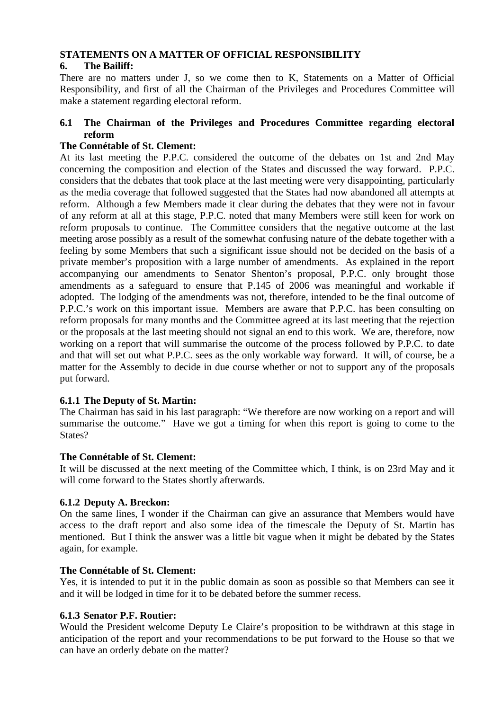# **STATEMENTS ON A MATTER OF OFFICIAL RESPONSIBILITY**

# **6. The Bailiff:**

There are no matters under J, so we come then to K, Statements on a Matter of Official Responsibility, and first of all the Chairman of the Privileges and Procedures Committee will make a statement regarding electoral reform.

# **6.1 The Chairman of the Privileges and Procedures Committee regarding electoral reform**

# **The Connétable of St. Clement:**

At its last meeting the P.P.C. considered the outcome of the debates on 1st and 2nd May concerning the composition and election of the States and discussed the way forward. P.P.C. considers that the debates that took place at the last meeting were very disappointing, particularly as the media coverage that followed suggested that the States had now abandoned all attempts at reform. Although a few Members made it clear during the debates that they were not in favour of any reform at all at this stage, P.P.C. noted that many Members were still keen for work on reform proposals to continue. The Committee considers that the negative outcome at the last meeting arose possibly as a result of the somewhat confusing nature of the debate together with a feeling by some Members that such a significant issue should not be decided on the basis of a private member's proposition with a large number of amendments. As explained in the report accompanying our amendments to Senator Shenton's proposal, P.P.C. only brought those amendments as a safeguard to ensure that P.145 of 2006 was meaningful and workable if adopted. The lodging of the amendments was not, therefore, intended to be the final outcome of P.P.C.'s work on this important issue. Members are aware that P.P.C. has been consulting on reform proposals for many months and the Committee agreed at its last meeting that the rejection or the proposals at the last meeting should not signal an end to this work. We are, therefore, now working on a report that will summarise the outcome of the process followed by P.P.C. to date and that will set out what P.P.C. sees as the only workable way forward. It will, of course, be a matter for the Assembly to decide in due course whether or not to support any of the proposals put forward.

# **6.1.1 The Deputy of St. Martin:**

The Chairman has said in his last paragraph: "We therefore are now working on a report and will summarise the outcome." Have we got a timing for when this report is going to come to the States?

# **The Connétable of St. Clement:**

It will be discussed at the next meeting of the Committee which, I think, is on 23rd May and it will come forward to the States shortly afterwards.

# **6.1.2 Deputy A. Breckon:**

On the same lines, I wonder if the Chairman can give an assurance that Members would have access to the draft report and also some idea of the timescale the Deputy of St. Martin has mentioned. But I think the answer was a little bit vague when it might be debated by the States again, for example.

# **The Connétable of St. Clement:**

Yes, it is intended to put it in the public domain as soon as possible so that Members can see it and it will be lodged in time for it to be debated before the summer recess.

# **6.1.3 Senator P.F. Routier:**

Would the President welcome Deputy Le Claire's proposition to be withdrawn at this stage in anticipation of the report and your recommendations to be put forward to the House so that we can have an orderly debate on the matter?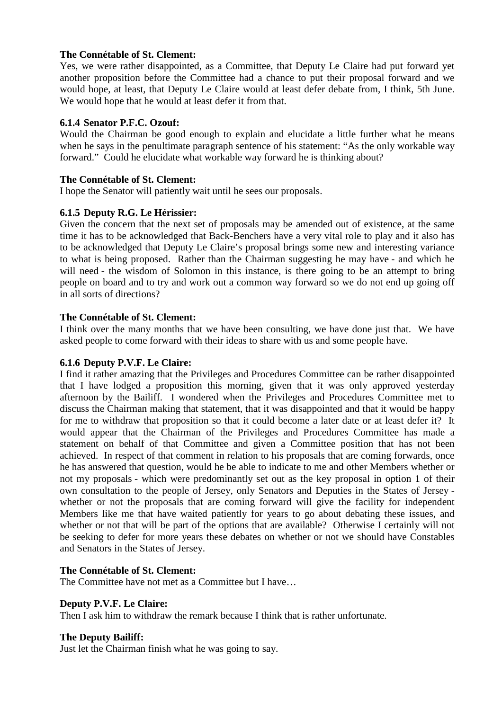## **The Connétable of St. Clement:**

Yes, we were rather disappointed, as a Committee, that Deputy Le Claire had put forward yet another proposition before the Committee had a chance to put their proposal forward and we would hope, at least, that Deputy Le Claire would at least defer debate from, I think, 5th June. We would hope that he would at least defer it from that.

## **6.1.4 Senator P.F.C. Ozouf:**

Would the Chairman be good enough to explain and elucidate a little further what he means when he says in the penultimate paragraph sentence of his statement: "As the only workable way forward." Could he elucidate what workable way forward he is thinking about?

## **The Connétable of St. Clement:**

I hope the Senator will patiently wait until he sees our proposals.

# **6.1.5 Deputy R.G. Le Hérissier:**

Given the concern that the next set of proposals may be amended out of existence, at the same time it has to be acknowledged that Back-Benchers have a very vital role to play and it also has to be acknowledged that Deputy Le Claire's proposal brings some new and interesting variance to what is being proposed. Rather than the Chairman suggesting he may have - and which he will need - the wisdom of Solomon in this instance, is there going to be an attempt to bring people on board and to try and work out a common way forward so we do not end up going off in all sorts of directions?

## **The Connétable of St. Clement:**

I think over the many months that we have been consulting, we have done just that. We have asked people to come forward with their ideas to share with us and some people have.

### **6.1.6 Deputy P.V.F. Le Claire:**

I find it rather amazing that the Privileges and Procedures Committee can be rather disappointed that I have lodged a proposition this morning, given that it was only approved yesterday afternoon by the Bailiff. I wondered when the Privileges and Procedures Committee met to discuss the Chairman making that statement, that it was disappointed and that it would be happy for me to withdraw that proposition so that it could become a later date or at least defer it? It would appear that the Chairman of the Privileges and Procedures Committee has made a statement on behalf of that Committee and given a Committee position that has not been achieved. In respect of that comment in relation to his proposals that are coming forwards, once he has answered that question, would he be able to indicate to me and other Members whether or not my proposals - which were predominantly set out as the key proposal in option 1 of their own consultation to the people of Jersey, only Senators and Deputies in the States of Jersey whether or not the proposals that are coming forward will give the facility for independent Members like me that have waited patiently for years to go about debating these issues, and whether or not that will be part of the options that are available? Otherwise I certainly will not be seeking to defer for more years these debates on whether or not we should have Constables and Senators in the States of Jersey.

### **The Connétable of St. Clement:**

The Committee have not met as a Committee but I have…

### **Deputy P.V.F. Le Claire:**

Then I ask him to withdraw the remark because I think that is rather unfortunate.

### **The Deputy Bailiff:**

Just let the Chairman finish what he was going to say.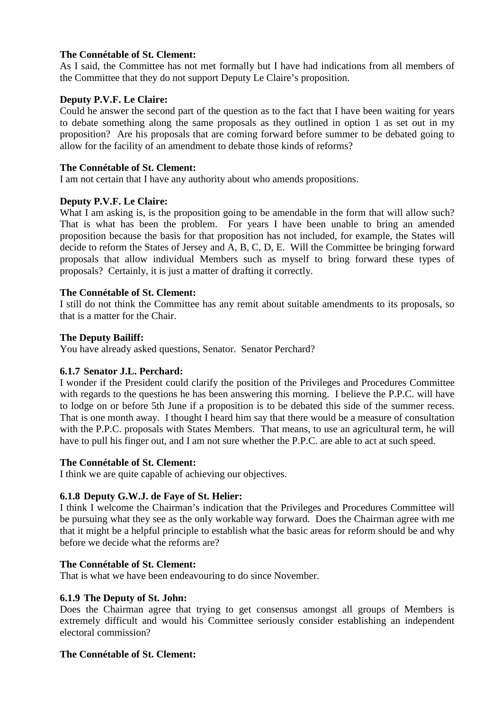## **The Connétable of St. Clement:**

As I said, the Committee has not met formally but I have had indications from all members of the Committee that they do not support Deputy Le Claire's proposition.

# **Deputy P.V.F. Le Claire:**

Could he answer the second part of the question as to the fact that I have been waiting for years to debate something along the same proposals as they outlined in option 1 as set out in my proposition? Are his proposals that are coming forward before summer to be debated going to allow for the facility of an amendment to debate those kinds of reforms?

### **The Connétable of St. Clement:**

I am not certain that I have any authority about who amends propositions.

## **Deputy P.V.F. Le Claire:**

What I am asking is, is the proposition going to be amendable in the form that will allow such? That is what has been the problem. For years I have been unable to bring an amended proposition because the basis for that proposition has not included, for example, the States will decide to reform the States of Jersey and A, B, C, D, E. Will the Committee be bringing forward proposals that allow individual Members such as myself to bring forward these types of proposals? Certainly, it is just a matter of drafting it correctly.

## **The Connétable of St. Clement:**

I still do not think the Committee has any remit about suitable amendments to its proposals, so that is a matter for the Chair.

## **The Deputy Bailiff:**

You have already asked questions, Senator. Senator Perchard?

### **6.1.7 Senator J.L. Perchard:**

I wonder if the President could clarify the position of the Privileges and Procedures Committee with regards to the questions he has been answering this morning. I believe the P.P.C. will have to lodge on or before 5th June if a proposition is to be debated this side of the summer recess. That is one month away. I thought I heard him say that there would be a measure of consultation with the P.P.C. proposals with States Members. That means, to use an agricultural term, he will have to pull his finger out, and I am not sure whether the P.P.C. are able to act at such speed.

### **The Connétable of St. Clement:**

I think we are quite capable of achieving our objectives.

### **6.1.8 Deputy G.W.J. de Faye of St. Helier:**

I think I welcome the Chairman's indication that the Privileges and Procedures Committee will be pursuing what they see as the only workable way forward. Does the Chairman agree with me that it might be a helpful principle to establish what the basic areas for reform should be and why before we decide what the reforms are?

### **The Connétable of St. Clement:**

That is what we have been endeavouring to do since November.

### **6.1.9 The Deputy of St. John:**

Does the Chairman agree that trying to get consensus amongst all groups of Members is extremely difficult and would his Committee seriously consider establishing an independent electoral commission?

## **The Connétable of St. Clement:**